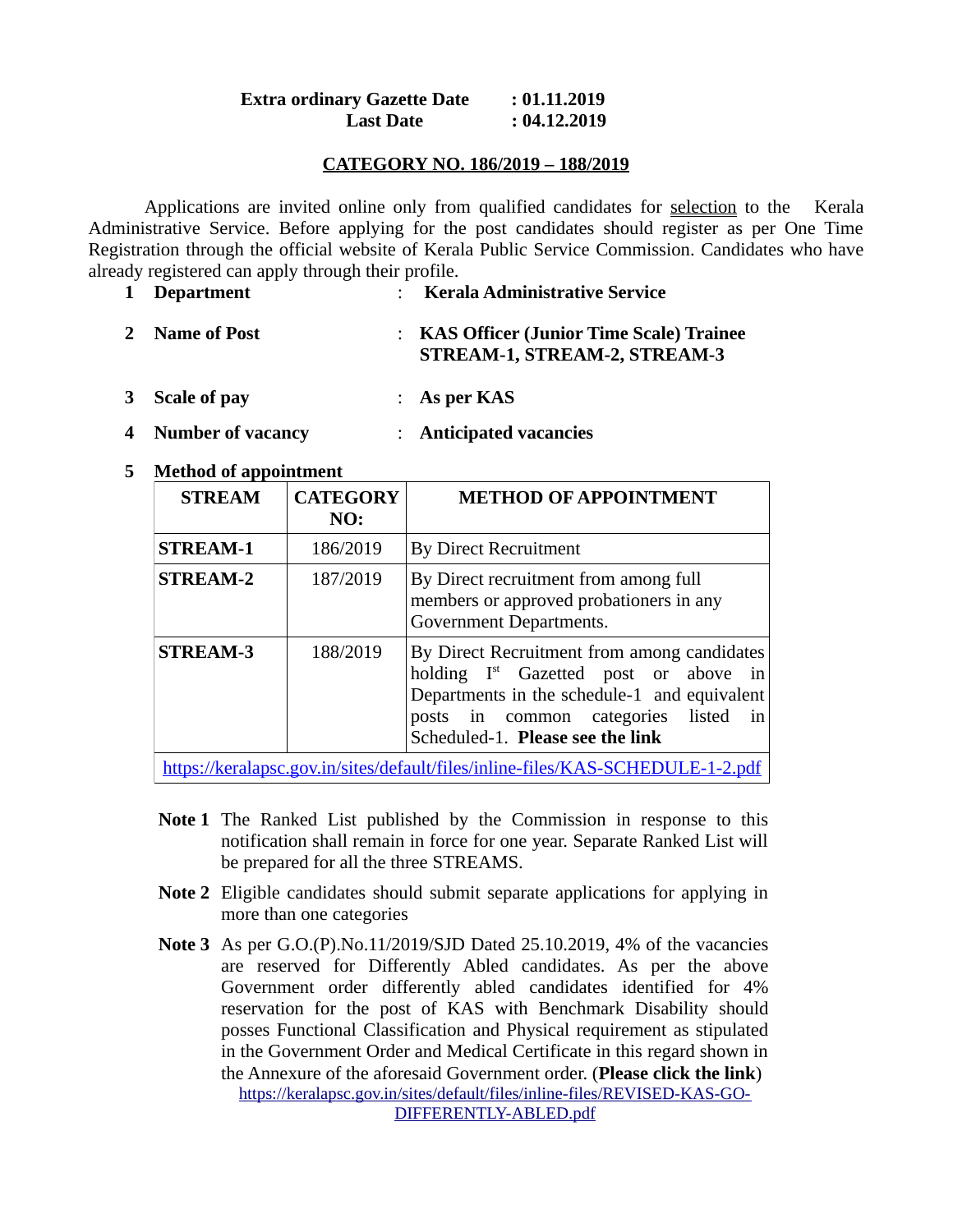#### **Extra ordinary Gazette Date : 01.11.2019 Last Date : 04.12.2019**

## **CATEGORY NO. 186/2019 – 188/2019**

Applications are invited online only from qualified candidates for selection to the Kerala Administrative Service. Before applying for the post candidates should register as per One Time Registration through the official website of Kerala Public Service Commission. Candidates who have already registered can apply through their profile.

| 1 Department   | : Kerala Administrative Service                                           |
|----------------|---------------------------------------------------------------------------|
| 2 Name of Post | : KAS Officer (Junior Time Scale) Trainee<br>STREAM-1, STREAM-2, STREAM-3 |

- **3 Scale of pay** : **As per KAS**
- **4 Number of vacancy** : **Anticipated vacancies**
- **5 Method of appointment**

| <b>STREAM</b>   | <b>CATEGORY</b><br>NO: | <b>METHOD OF APPOINTMENT</b>                                                                                                                                                                                                    |  |  |  |  |  |  |
|-----------------|------------------------|---------------------------------------------------------------------------------------------------------------------------------------------------------------------------------------------------------------------------------|--|--|--|--|--|--|
| <b>STREAM-1</b> | 186/2019               | <b>By Direct Recruitment</b>                                                                                                                                                                                                    |  |  |  |  |  |  |
| <b>STREAM-2</b> | 187/2019               | By Direct recruitment from among full<br>members or approved probationers in any<br>Government Departments.                                                                                                                     |  |  |  |  |  |  |
| <b>STREAM-3</b> | 188/2019               | By Direct Recruitment from among candidates<br>holding I <sup>st</sup> Gazetted post or above in<br>Departments in the schedule-1 and equivalent<br>posts in common categories listed<br>in<br>Scheduled-1. Please see the link |  |  |  |  |  |  |

<https://keralapsc.gov.in/sites/default/files/inline-files/KAS-SCHEDULE-1-2.pdf> |

- **Note 1** The Ranked List published by the Commission in response to this notification shall remain in force for one year. Separate Ranked List will be prepared for all the three STREAMS.
- **Note 2** Eligible candidates should submit separate applications for applying in more than one categories
- **Note 3** As per G.O.(P).No.11/2019/SJD Dated 25.10.2019, 4% of the vacancies are reserved for Differently Abled candidates. As per the above Government order differently abled candidates identified for 4% reservation for the post of KAS with Benchmark Disability should posses Functional Classification and Physical requirement as stipulated in the Government Order and Medical Certificate in this regard shown in the Annexure of the aforesaid Government order. (**Please click the link**) [https://keralapsc.gov.in/sites/default/files/inline-files/REVISED-KAS-GO-](https://keralapsc.gov.in/sites/default/files/inline-files/REVISED-KAS-GO-DIFFERENTLY-ABLED.pdf)

[DIFFERENTLY-ABLED.pdf](https://keralapsc.gov.in/sites/default/files/inline-files/REVISED-KAS-GO-DIFFERENTLY-ABLED.pdf)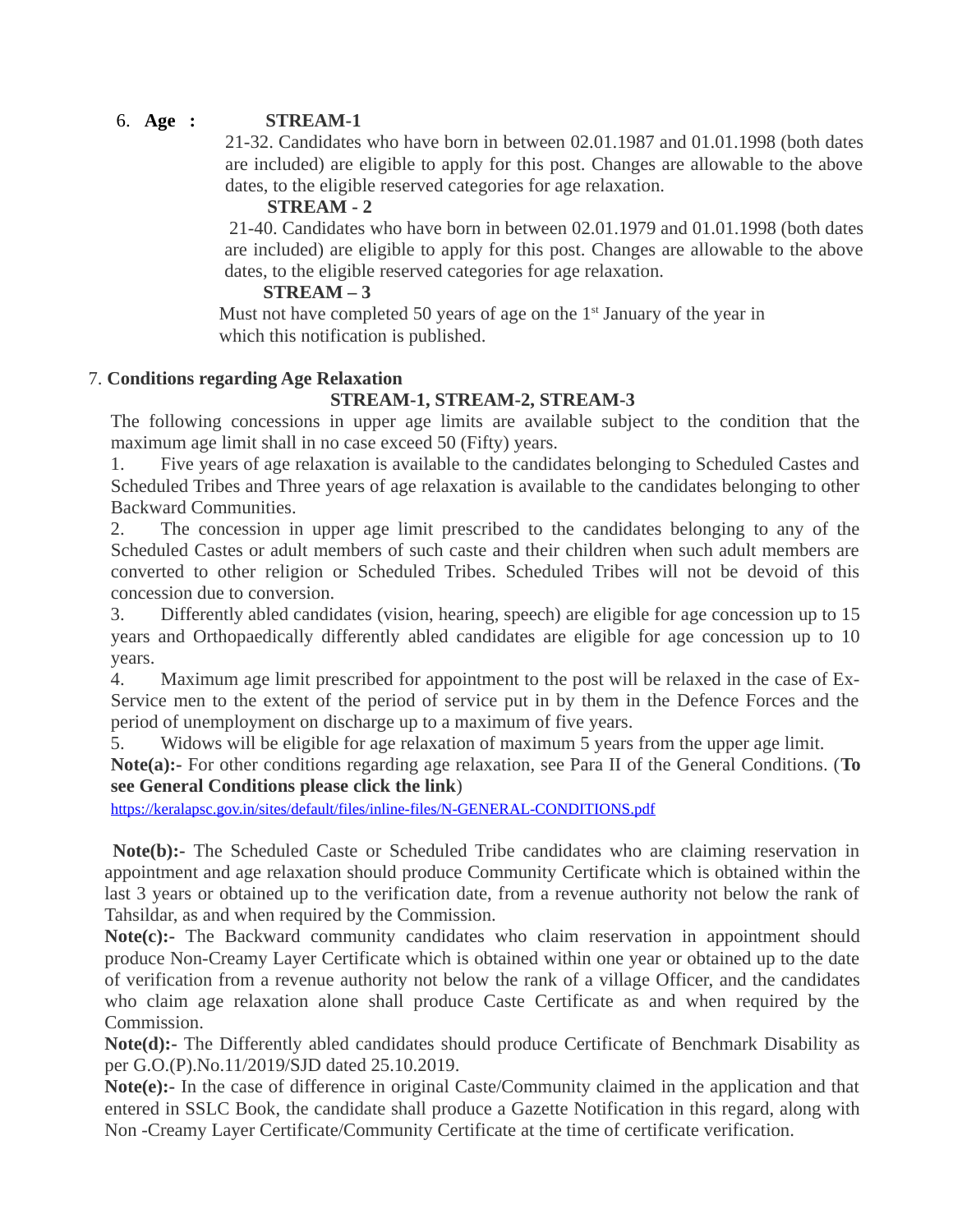# 6. **Age : STREAM-1**

21-32. Candidates who have born in between 02.01.1987 and 01.01.1998 (both dates are included) are eligible to apply for this post. Changes are allowable to the above dates, to the eligible reserved categories for age relaxation.

# **STREAM - 2**

21-40. Candidates who have born in between 02.01.1979 and 01.01.1998 (both dates are included) are eligible to apply for this post. Changes are allowable to the above dates, to the eligible reserved categories for age relaxation.

# **STREAM – 3**

Must not have completed 50 years of age on the 1<sup>st</sup> January of the year in which this notification is published.

# 7. **Conditions regarding Age Relaxation**

# **STREAM-1, STREAM-2, STREAM-3**

The following concessions in upper age limits are available subject to the condition that the maximum age limit shall in no case exceed 50 (Fifty) years.

1. Five years of age relaxation is available to the candidates belonging to Scheduled Castes and Scheduled Tribes and Three years of age relaxation is available to the candidates belonging to other Backward Communities.

2. The concession in upper age limit prescribed to the candidates belonging to any of the Scheduled Castes or adult members of such caste and their children when such adult members are converted to other religion or Scheduled Tribes. Scheduled Tribes will not be devoid of this concession due to conversion.

3. Differently abled candidates (vision, hearing, speech) are eligible for age concession up to 15 years and Orthopaedically differently abled candidates are eligible for age concession up to 10 years.

4. Maximum age limit prescribed for appointment to the post will be relaxed in the case of Ex-Service men to the extent of the period of service put in by them in the Defence Forces and the period of unemployment on discharge up to a maximum of five years.

5. Widows will be eligible for age relaxation of maximum 5 years from the upper age limit.

**Note(a):-** For other conditions regarding age relaxation, see Para II of the General Conditions. (**To see General Conditions please click the link**)

<https://keralapsc.gov.in/sites/default/files/inline-files/N-GENERAL-CONDITIONS.pdf>

**Note(b):-** The Scheduled Caste or Scheduled Tribe candidates who are claiming reservation in appointment and age relaxation should produce Community Certificate which is obtained within the last 3 years or obtained up to the verification date, from a revenue authority not below the rank of Tahsildar, as and when required by the Commission.

**Note(c):-** The Backward community candidates who claim reservation in appointment should produce Non-Creamy Layer Certificate which is obtained within one year or obtained up to the date of verification from a revenue authority not below the rank of a village Officer, and the candidates who claim age relaxation alone shall produce Caste Certificate as and when required by the Commission.

**Note(d):-** The Differently abled candidates should produce Certificate of Benchmark Disability as per G.O.(P).No.11/2019/SJD dated 25.10.2019.

**Note(e):-** In the case of difference in original Caste/Community claimed in the application and that entered in SSLC Book, the candidate shall produce a Gazette Notification in this regard, along with Non -Creamy Layer Certificate/Community Certificate at the time of certificate verification.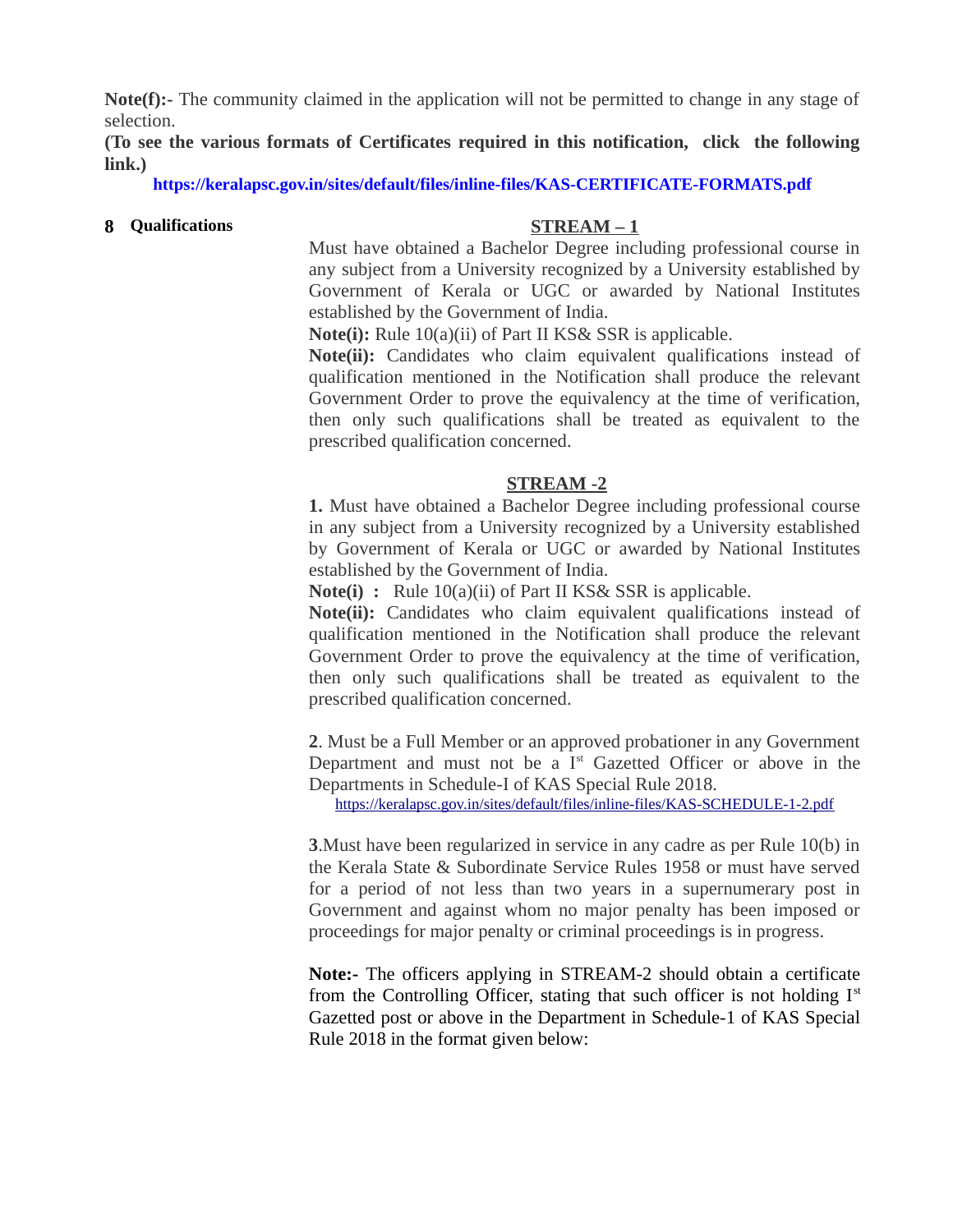**Note(f):-** The community claimed in the application will not be permitted to change in any stage of selection.

**(To see the various formats of Certificates required in this notification, click the following link.)**

**<https://keralapsc.gov.in/sites/default/files/inline-files/KAS-CERTIFICATE-FORMATS.pdf>**

#### **8 Qualifications STREAM – 1**

Must have obtained a Bachelor Degree including professional course in any subject from a University recognized by a University established by Government of Kerala or UGC or awarded by National Institutes established by the Government of India.

**Note(i):** Rule 10(a)(ii) of Part II KS& SSR is applicable.

**Note(ii):** Candidates who claim equivalent qualifications instead of qualification mentioned in the Notification shall produce the relevant Government Order to prove the equivalency at the time of verification, then only such qualifications shall be treated as equivalent to the prescribed qualification concerned.

#### **STREAM -2**

**1.** Must have obtained a Bachelor Degree including professional course in any subject from a University recognized by a University established by Government of Kerala or UGC or awarded by National Institutes established by the Government of India.

**Note(i) :** Rule 10(a)(ii) of Part II KS& SSR is applicable.

**Note(ii):** Candidates who claim equivalent qualifications instead of qualification mentioned in the Notification shall produce the relevant Government Order to prove the equivalency at the time of verification, then only such qualifications shall be treated as equivalent to the prescribed qualification concerned.

**2**. Must be a Full Member or an approved probationer in any Government Department and must not be a  $I<sup>st</sup>$  Gazetted Officer or above in the Departments in Schedule-I of KAS Special Rule 2018.

<https://keralapsc.gov.in/sites/default/files/inline-files/KAS-SCHEDULE-1-2.pdf>

**3**.Must have been regularized in service in any cadre as per Rule 10(b) in the Kerala State & Subordinate Service Rules 1958 or must have served for a period of not less than two years in a supernumerary post in Government and against whom no major penalty has been imposed or proceedings for major penalty or criminal proceedings is in progress.

**Note:-** The officers applying in STREAM-2 should obtain a certificate from the Controlling Officer, stating that such officer is not holding  $I<sup>st</sup>$ Gazetted post or above in the Department in Schedule-1 of KAS Special Rule 2018 in the format given below: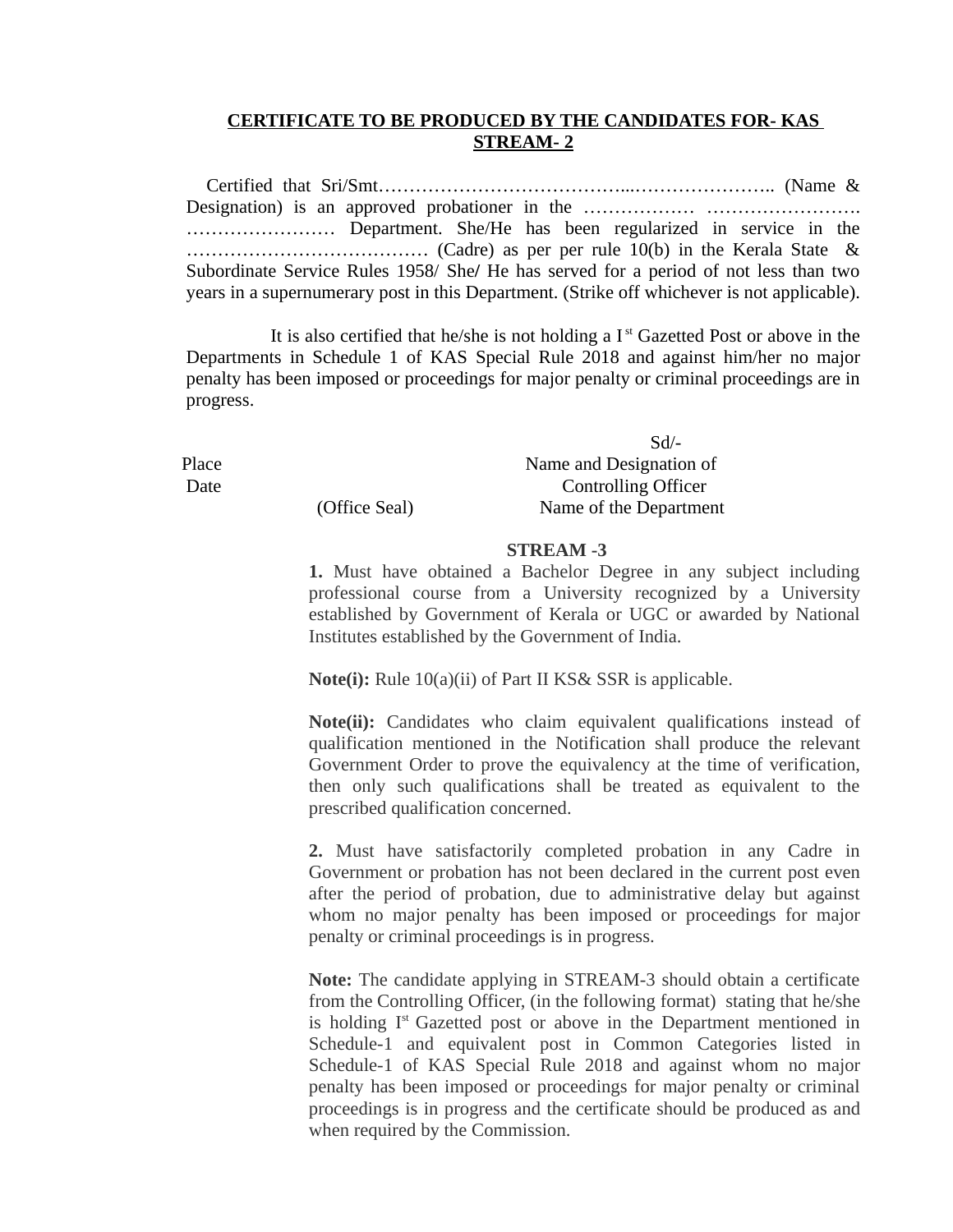## **CERTIFICATE TO BE PRODUCED BY THE CANDIDATES FOR- KAS STREAM- 2**

 Certified that Sri/Smt…………………………………...………………….. (Name & Designation) is an approved probationer in the ……………… ……………………. …………………… Department. She/He has been regularized in service in the ………………………………… (Cadre) as per per rule 10(b) in the Kerala State & Subordinate Service Rules 1958/ She**/** He has served for a period of not less than two years in a supernumerary post in this Department. (Strike off whichever is not applicable).

It is also certified that he/she is not holding a  $I<sup>st</sup>$  Gazetted Post or above in the Departments in Schedule 1 of KAS Special Rule 2018 and against him/her no major penalty has been imposed or proceedings for major penalty or criminal proceedings are in progress.

 Sd/- Place Name and Designation of Date Controlling Officer (Office Seal) Name of the Department

#### **STREAM -3**

**1.** Must have obtained a Bachelor Degree in any subject including professional course from a University recognized by a University established by Government of Kerala or UGC or awarded by National Institutes established by the Government of India.

**Note(i):** Rule 10(a)(ii) of Part II KS& SSR is applicable.

**Note(ii):** Candidates who claim equivalent qualifications instead of qualification mentioned in the Notification shall produce the relevant Government Order to prove the equivalency at the time of verification, then only such qualifications shall be treated as equivalent to the prescribed qualification concerned.

**2.** Must have satisfactorily completed probation in any Cadre in Government or probation has not been declared in the current post even after the period of probation, due to administrative delay but against whom no major penalty has been imposed or proceedings for major penalty or criminal proceedings is in progress.

**Note:** The candidate applying in STREAM-3 should obtain a certificate from the Controlling Officer, (in the following format) stating that he/she is holding I<sup>st</sup> Gazetted post or above in the Department mentioned in Schedule-1 and equivalent post in Common Categories listed in Schedule-1 of KAS Special Rule 2018 and against whom no major penalty has been imposed or proceedings for major penalty or criminal proceedings is in progress and the certificate should be produced as and when required by the Commission.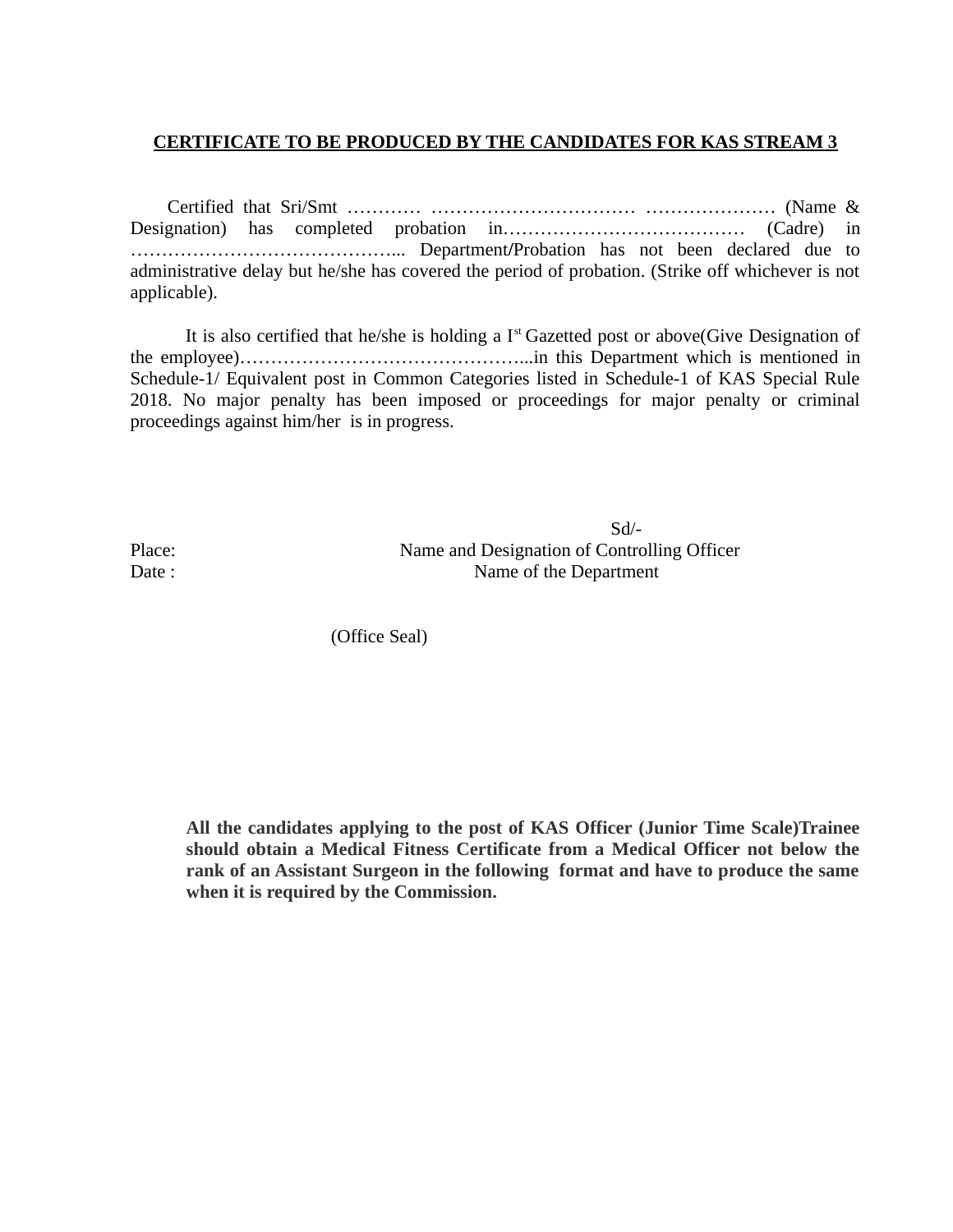## **CERTIFICATE TO BE PRODUCED BY THE CANDIDATES FOR KAS STREAM 3**

 Certified that Sri/Smt ………… …………………………… ………………… (Name & Designation) has completed probation in………………………………… (Cadre) in ……………………………………... Department**/**Probation has not been declared due to administrative delay but he/she has covered the period of probation. (Strike off whichever is not applicable).

It is also certified that he/she is holding a  $I<sup>st</sup>$  Gazetted post or above(Give Designation of the employee)………………………………………...in this Department which is mentioned in Schedule-1/ Equivalent post in Common Categories listed in Schedule-1 of KAS Special Rule 2018. No major penalty has been imposed or proceedings for major penalty or criminal proceedings against him/her is in progress.

 Sd/- Place: Name and Designation of Controlling Officer Date : Name of the Department

(Office Seal)

**All the candidates applying to the post of KAS Officer (Junior Time Scale)Trainee should obtain a Medical Fitness Certificate from a Medical Officer not below the rank of an Assistant Surgeon in the following format and have to produce the same when it is required by the Commission.**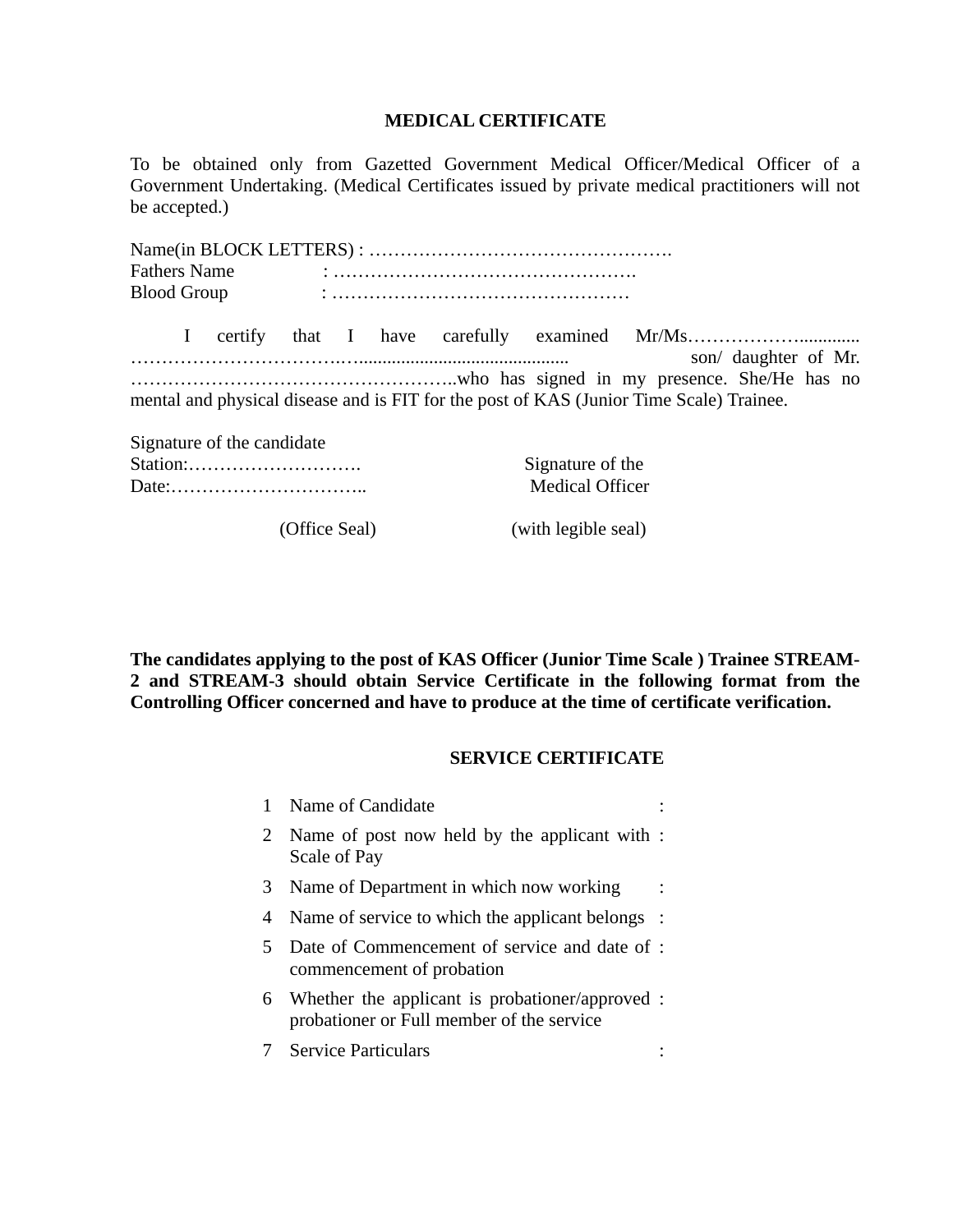#### **MEDICAL CERTIFICATE**

To be obtained only from Gazetted Government Medical Officer/Medical Officer of a Government Undertaking. (Medical Certificates issued by private medical practitioners will not be accepted.)

| Fathers Name       |  |
|--------------------|--|
| <b>Blood Group</b> |  |

|  | I certify that I have carefully examined Mr/Ms                                          |  |  |  |  |                      |  |
|--|-----------------------------------------------------------------------------------------|--|--|--|--|----------------------|--|
|  |                                                                                         |  |  |  |  | son/ daughter of Mr. |  |
|  |                                                                                         |  |  |  |  |                      |  |
|  | mental and physical disease and is FIT for the post of KAS (Junior Time Scale) Trainee. |  |  |  |  |                      |  |

Signature of the candidate Station:………………………. Signature of the Date:………………………….. Medical Officer

(Office Seal) (with legible seal)

**The candidates applying to the post of KAS Officer (Junior Time Scale ) Trainee STREAM-2 and STREAM-3 should obtain Service Certificate in the following format from the Controlling Officer concerned and have to produce at the time of certificate verification.**

## **SERVICE CERTIFICATE**

- 1 Name of Candidate :
- 2 Name of post now held by the applicant with : Scale of Pay
- 3 Name of Department in which now working :
- 4 Name of service to which the applicant belongs :
- 5 Date of Commencement of service and date of : commencement of probation
- 6 Whether the applicant is probationer/approved : probationer or Full member of the service
- 7 Service Particulars :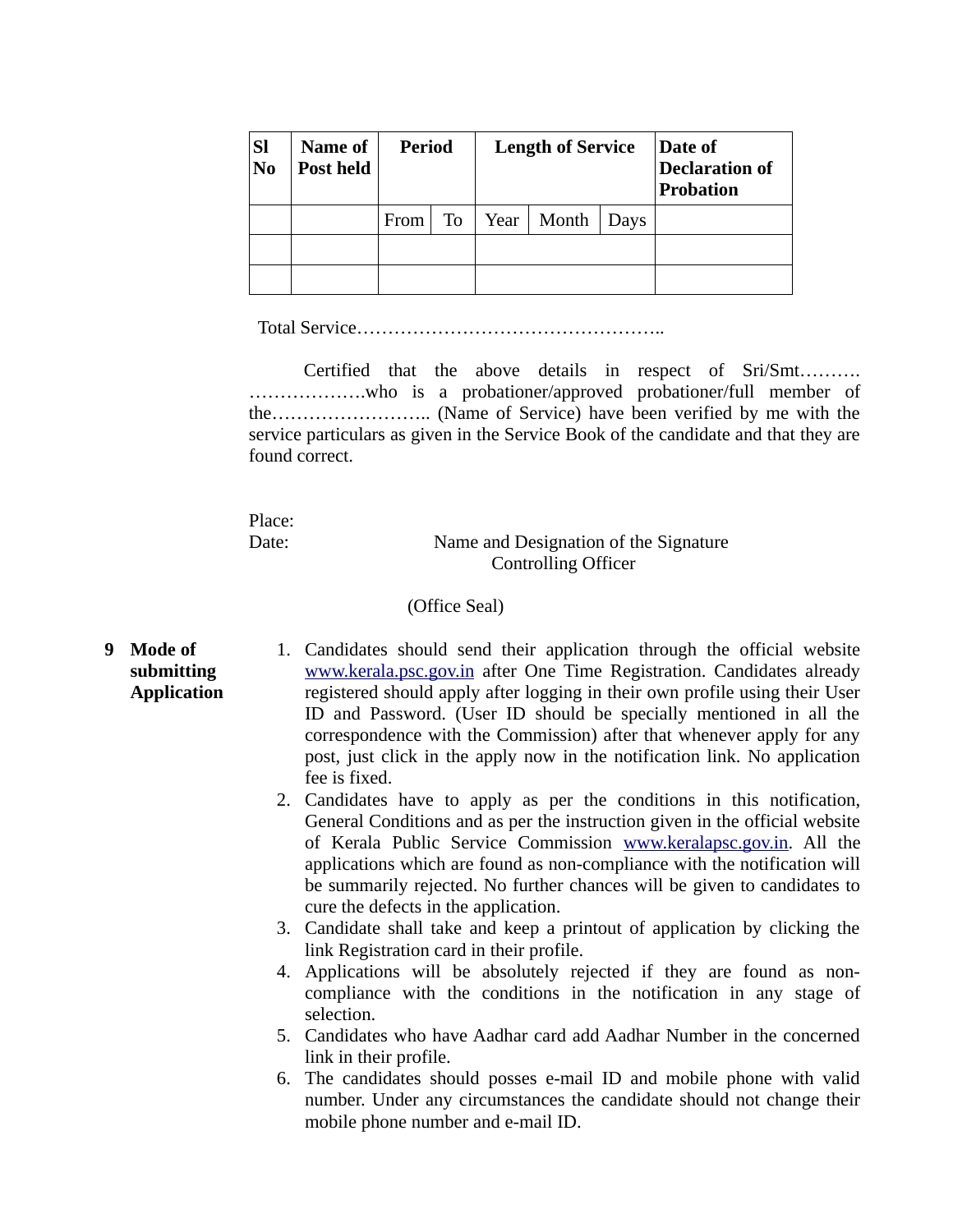| <b>Sl</b><br>N <sub>0</sub> | Name of<br>Post held | Period     |  |      | <b>Length of Service</b> | Date of<br><b>Declaration of</b><br><b>Probation</b> |  |
|-----------------------------|----------------------|------------|--|------|--------------------------|------------------------------------------------------|--|
|                             |                      | To<br>From |  | Year | Month                    | Days                                                 |  |
|                             |                      |            |  |      |                          |                                                      |  |
|                             |                      |            |  |      |                          |                                                      |  |

Total Service…………………………………………..

Certified that the above details in respect of Sri/Smt………. ……………….who is a probationer/approved probationer/full member of the…………………….. (Name of Service) have been verified by me with the service particulars as given in the Service Book of the candidate and that they are found correct.

Place: The contract of the contract of the contract of the contract of the contract of the contract of the contract of the contract of the contract of the contract of the contract of the contract of the contract of the con

**9 Mode of** 

**submitting Application** Date: Name and Designation of the Signature Controlling Officer

#### (Office Seal)

- 1. Candidates should send their application through the official website [www.kerala.psc.gov.in](http://www.kerala.psc.gov.in/) after One Time Registration. Candidates already registered should apply after logging in their own profile using their User ID and Password. (User ID should be specially mentioned in all the correspondence with the Commission) after that whenever apply for any post, just click in the apply now in the notification link. No application fee is fixed.
	- 2. Candidates have to apply as per the conditions in this notification, General Conditions and as per the instruction given in the official website of Kerala Public Service Commission [www.keralapsc.gov.in.](http://www.keralapsc.gov.in/) All the applications which are found as non-compliance with the notification will be summarily rejected. No further chances will be given to candidates to cure the defects in the application.
	- 3. Candidate shall take and keep a printout of application by clicking the link Registration card in their profile.
	- 4. Applications will be absolutely rejected if they are found as noncompliance with the conditions in the notification in any stage of selection.
	- 5. Candidates who have Aadhar card add Aadhar Number in the concerned link in their profile.
	- 6. The candidates should posses e-mail ID and mobile phone with valid number. Under any circumstances the candidate should not change their mobile phone number and e-mail ID.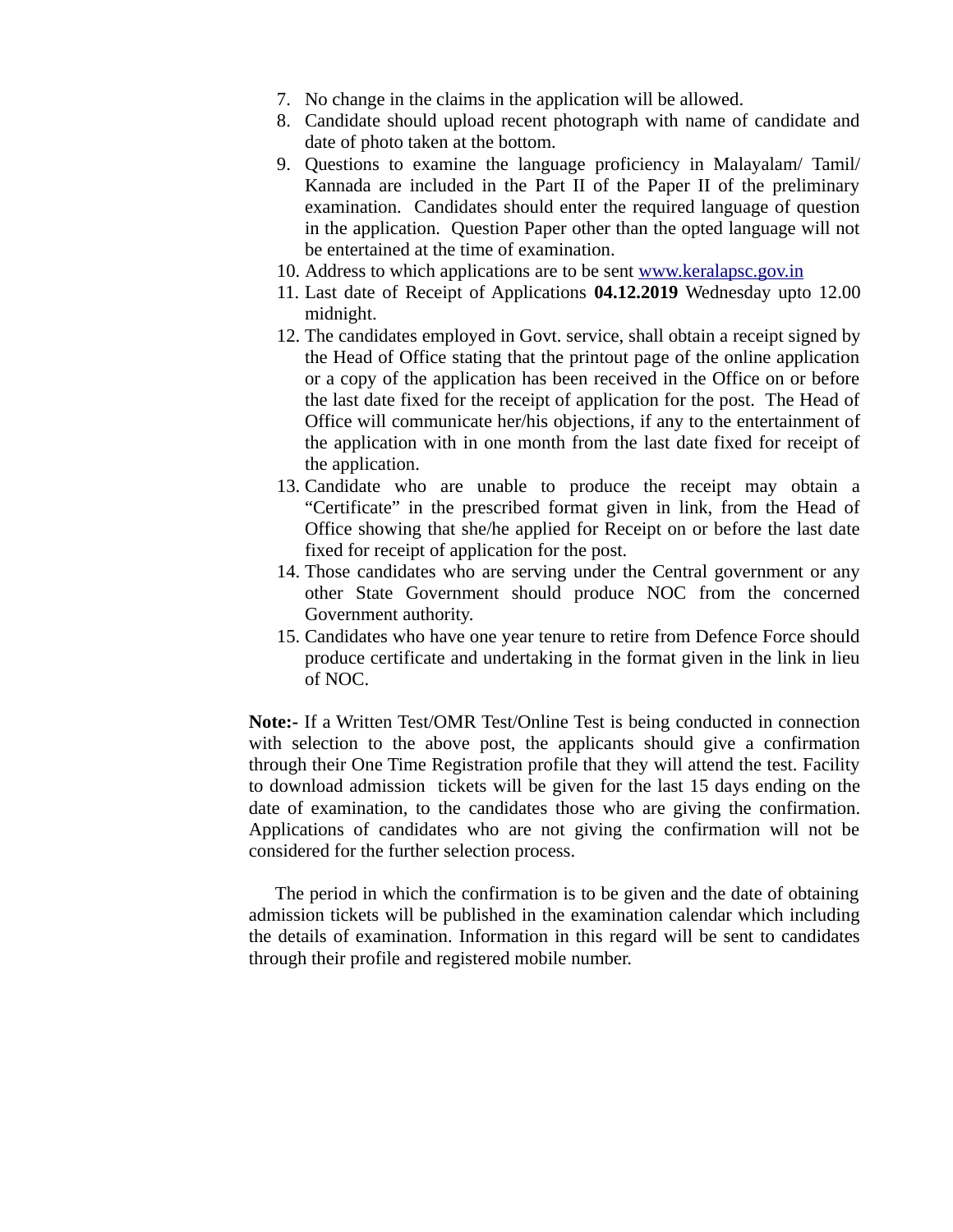- 7. No change in the claims in the application will be allowed.
- 8. Candidate should upload recent photograph with name of candidate and date of photo taken at the bottom.
- 9. Questions to examine the language proficiency in Malayalam/ Tamil/ Kannada are included in the Part II of the Paper II of the preliminary examination. Candidates should enter the required language of question in the application. Question Paper other than the opted language will not be entertained at the time of examination.
- 10. Address to which applications are to be sent [www.keralapsc.gov.in](http://www.keralapsc.gov.in/)
- 11. Last date of Receipt of Applications **04.12.2019** Wednesday upto 12.00 midnight.
- 12. The candidates employed in Govt. service, shall obtain a receipt signed by the Head of Office stating that the printout page of the online application or a copy of the application has been received in the Office on or before the last date fixed for the receipt of application for the post. The Head of Office will communicate her/his objections, if any to the entertainment of the application with in one month from the last date fixed for receipt of the application.
- 13. Candidate who are unable to produce the receipt may obtain a "Certificate" in the prescribed format given in link, from the Head of Office showing that she/he applied for Receipt on or before the last date fixed for receipt of application for the post.
- 14. Those candidates who are serving under the Central government or any other State Government should produce NOC from the concerned Government authority.
- 15. Candidates who have one year tenure to retire from Defence Force should produce certificate and undertaking in the format given in the link in lieu of NOC.

**Note:-** If a Written Test/OMR Test/Online Test is being conducted in connection with selection to the above post, the applicants should give a confirmation through their One Time Registration profile that they will attend the test. Facility to download admission tickets will be given for the last 15 days ending on the date of examination, to the candidates those who are giving the confirmation. Applications of candidates who are not giving the confirmation will not be considered for the further selection process.

 The period in which the confirmation is to be given and the date of obtaining admission tickets will be published in the examination calendar which including the details of examination. Information in this regard will be sent to candidates through their profile and registered mobile number.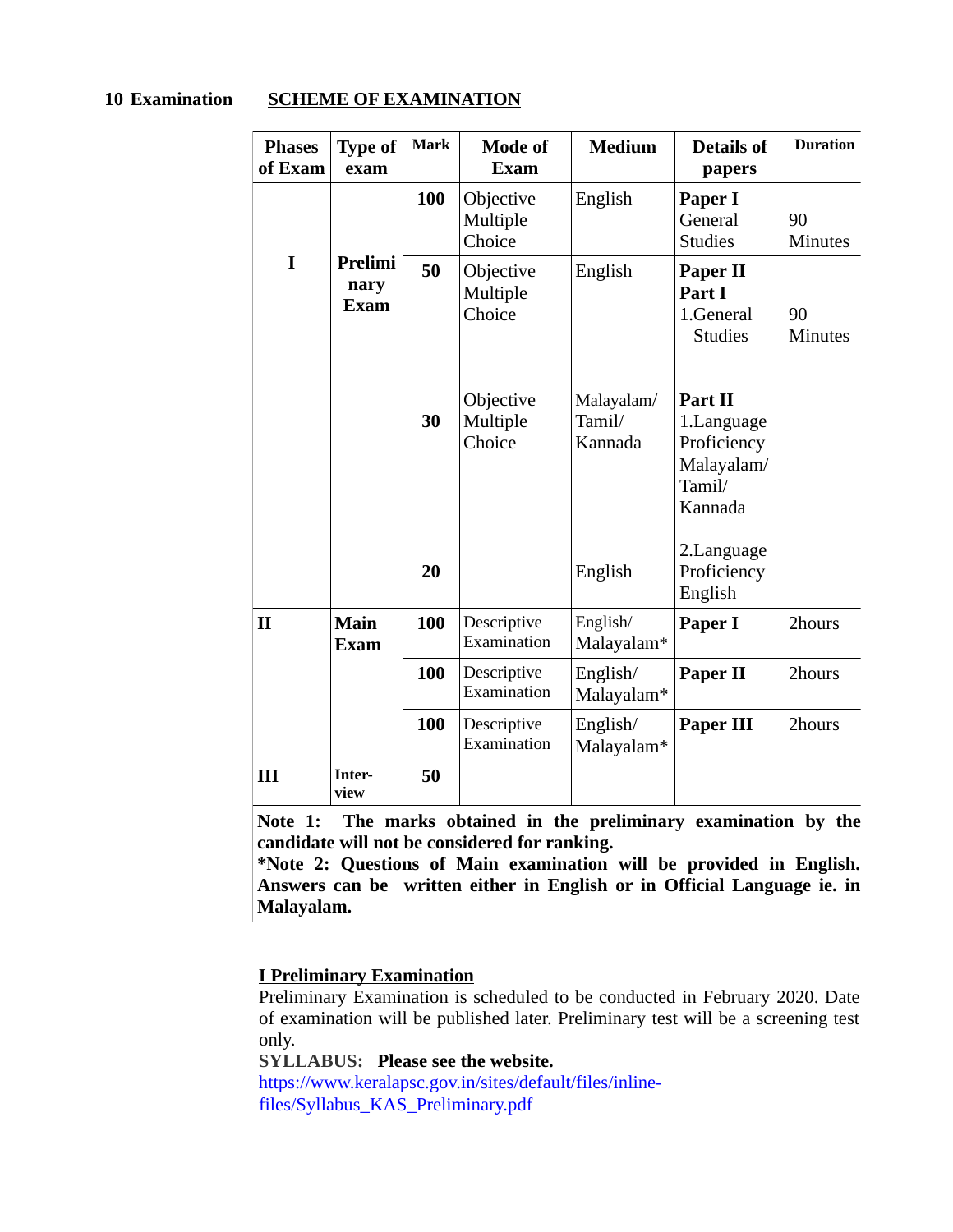## **10 Examination SCHEME OF EXAMINATION**

| <b>Phases</b><br>of Exam | <b>Type of</b><br>exam         | <b>Mark</b> | <b>Mode of</b><br><b>Exam</b>   | <b>Medium</b>                   | <b>Details of</b><br>papers                                             | <b>Duration</b>      |
|--------------------------|--------------------------------|-------------|---------------------------------|---------------------------------|-------------------------------------------------------------------------|----------------------|
|                          |                                | 100         | Objective<br>Multiple<br>Choice | English                         | Paper I<br>General<br><b>Studies</b>                                    | 90<br><b>Minutes</b> |
| $\mathbf I$              | Prelimi<br>nary<br><b>Exam</b> | 50          | Objective<br>Multiple<br>Choice | English                         | Paper II<br>Part I<br>1.General<br><b>Studies</b>                       | 90<br><b>Minutes</b> |
|                          |                                | 30          | Objective<br>Multiple<br>Choice | Malayalam/<br>Tamil/<br>Kannada | Part II<br>1.Language<br>Proficiency<br>Malayalam/<br>Tamil/<br>Kannada |                      |
|                          |                                | 20          |                                 | English                         | 2.Language<br>Proficiency<br>English                                    |                      |
| $\mathbf{I}$             | <b>Main</b><br><b>Exam</b>     | 100         | Descriptive<br>Examination      | English/<br>Malayalam*          | Paper I                                                                 | 2hours               |
|                          |                                | 100         | Descriptive<br>Examination      | English/<br>Malayalam*          | Paper II                                                                | 2hours               |
|                          |                                | 100         | Descriptive<br>Examination      | English/<br>Malayalam*          | Paper III                                                               | 2hours               |
| III                      | Inter-<br>view                 | 50          |                                 |                                 |                                                                         |                      |

**Note 1: The marks obtained in the preliminary examination by the candidate will not be considered for ranking.**

**\*Note 2: Questions of Main examination will be provided in English. Answers can be written either in English or in Official Language ie. in Malayalam.**

# **I Preliminary Examination**

Preliminary Examination is scheduled to be conducted in February 2020. Date of examination will be published later. Preliminary test will be a screening test only.

**SYLLABUS: Please see the website.** 

https://www.keralapsc.gov.in/sites/default/files/inlinefiles/Syllabus\_KAS\_Preliminary.pdf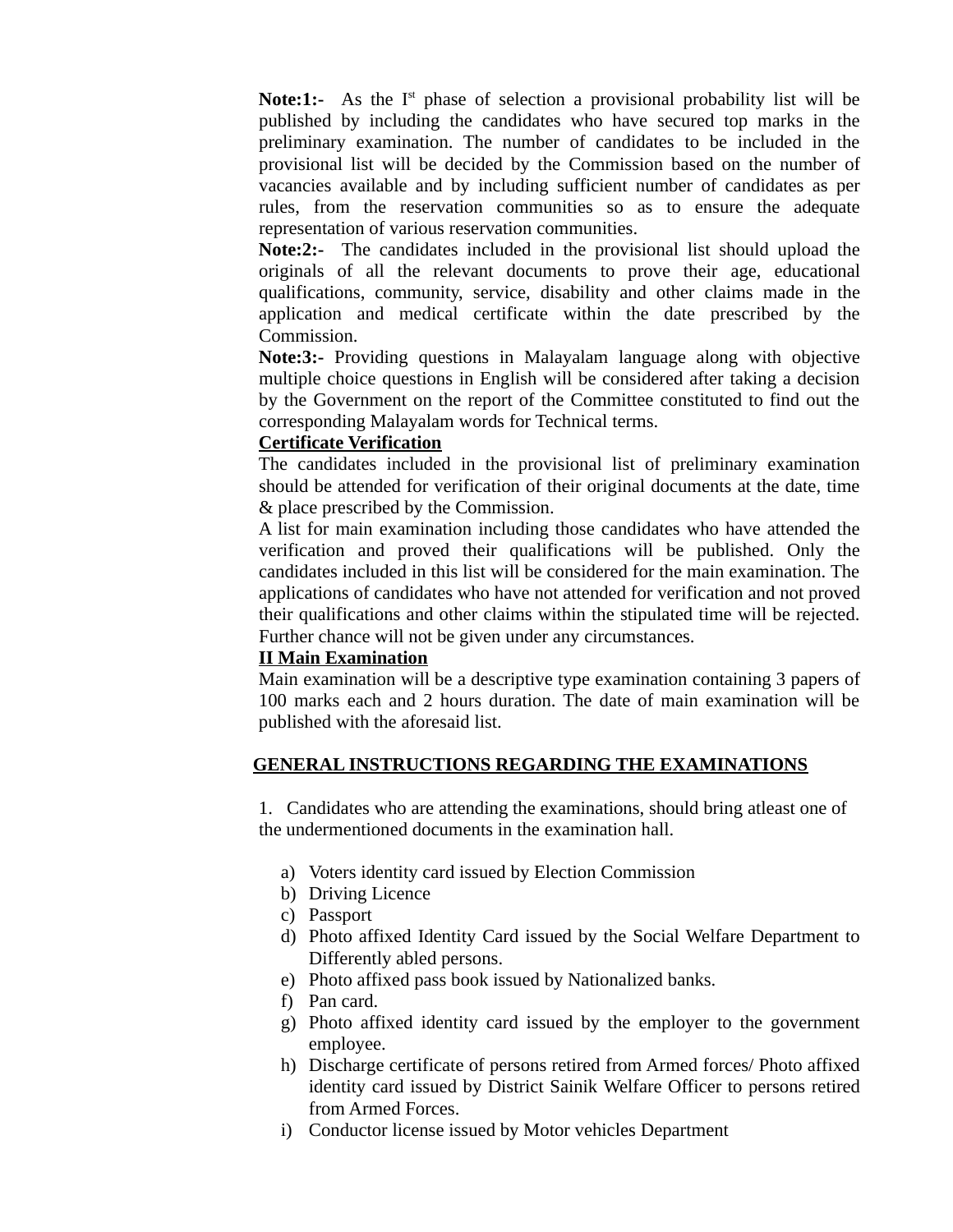**Note:1:-** As the I<sup>st</sup> phase of selection a provisional probability list will be published by including the candidates who have secured top marks in the preliminary examination. The number of candidates to be included in the provisional list will be decided by the Commission based on the number of vacancies available and by including sufficient number of candidates as per rules, from the reservation communities so as to ensure the adequate representation of various reservation communities.

**Note:2:-** The candidates included in the provisional list should upload the originals of all the relevant documents to prove their age, educational qualifications, community, service, disability and other claims made in the application and medical certificate within the date prescribed by the Commission.

**Note:3:-** Providing questions in Malayalam language along with objective multiple choice questions in English will be considered after taking a decision by the Government on the report of the Committee constituted to find out the corresponding Malayalam words for Technical terms.

#### **Certificate Verification**

The candidates included in the provisional list of preliminary examination should be attended for verification of their original documents at the date, time & place prescribed by the Commission.

A list for main examination including those candidates who have attended the verification and proved their qualifications will be published. Only the candidates included in this list will be considered for the main examination. The applications of candidates who have not attended for verification and not proved their qualifications and other claims within the stipulated time will be rejected. Further chance will not be given under any circumstances.

## **II Main Examination**

Main examination will be a descriptive type examination containing 3 papers of 100 marks each and 2 hours duration. The date of main examination will be published with the aforesaid list.

## **GENERAL INSTRUCTIONS REGARDING THE EXAMINATIONS**

1. Candidates who are attending the examinations, should bring atleast one of the undermentioned documents in the examination hall.

- a) Voters identity card issued by Election Commission
- b) Driving Licence
- c) Passport
- d) Photo affixed Identity Card issued by the Social Welfare Department to Differently abled persons.
- e) Photo affixed pass book issued by Nationalized banks.
- f) Pan card.
- g) Photo affixed identity card issued by the employer to the government employee.
- h) Discharge certificate of persons retired from Armed forces/ Photo affixed identity card issued by District Sainik Welfare Officer to persons retired from Armed Forces.
- i) Conductor license issued by Motor vehicles Department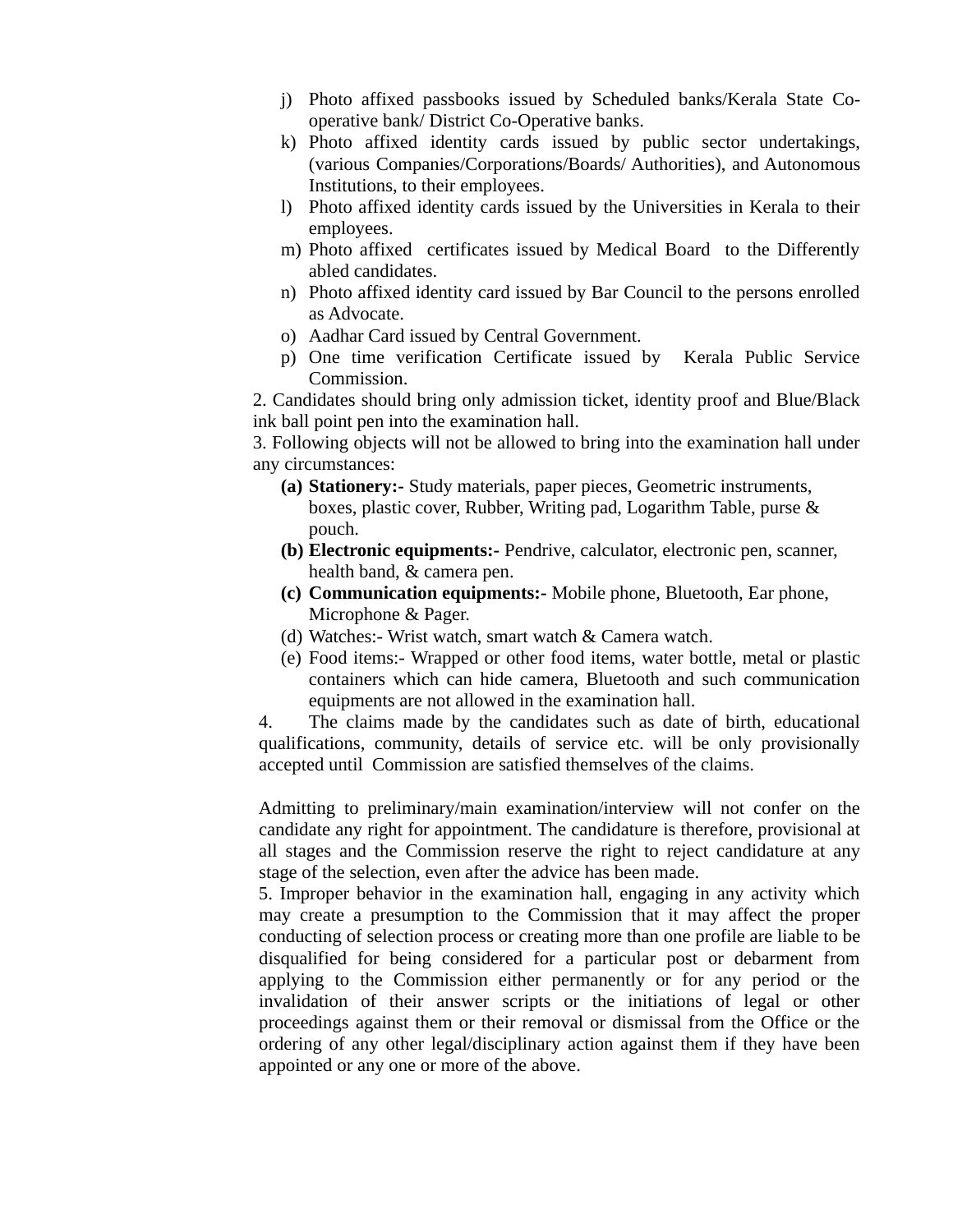- j) Photo affixed passbooks issued by Scheduled banks/Kerala State Cooperative bank/ District Co-Operative banks.
- k) Photo affixed identity cards issued by public sector undertakings, (various Companies/Corporations/Boards/ Authorities), and Autonomous Institutions, to their employees.
- l) Photo affixed identity cards issued by the Universities in Kerala to their employees.
- m) Photo affixed certificates issued by Medical Board to the Differently abled candidates.
- n) Photo affixed identity card issued by Bar Council to the persons enrolled as Advocate.
- o) Aadhar Card issued by Central Government.
- p) One time verification Certificate issued by Kerala Public Service Commission.

2. Candidates should bring only admission ticket, identity proof and Blue/Black ink ball point pen into the examination hall.

3. Following objects will not be allowed to bring into the examination hall under any circumstances:

- **(a) Stationery:-** Study materials, paper pieces, Geometric instruments, boxes, plastic cover, Rubber, Writing pad, Logarithm Table, purse & pouch.
- **(b) Electronic equipments:-** Pendrive, calculator, electronic pen, scanner, health band, & camera pen.
- **(c) Communication equipments:-** Mobile phone, Bluetooth, Ear phone, Microphone & Pager.
- (d) Watches:- Wrist watch, smart watch & Camera watch.
- (e) Food items:- Wrapped or other food items, water bottle, metal or plastic containers which can hide camera, Bluetooth and such communication equipments are not allowed in the examination hall.

4. The claims made by the candidates such as date of birth, educational qualifications, community, details of service etc. will be only provisionally accepted until Commission are satisfied themselves of the claims.

Admitting to preliminary/main examination/interview will not confer on the candidate any right for appointment. The candidature is therefore, provisional at all stages and the Commission reserve the right to reject candidature at any stage of the selection, even after the advice has been made.

5. Improper behavior in the examination hall, engaging in any activity which may create a presumption to the Commission that it may affect the proper conducting of selection process or creating more than one profile are liable to be disqualified for being considered for a particular post or debarment from applying to the Commission either permanently or for any period or the invalidation of their answer scripts or the initiations of legal or other proceedings against them or their removal or dismissal from the Office or the ordering of any other legal/disciplinary action against them if they have been appointed or any one or more of the above.